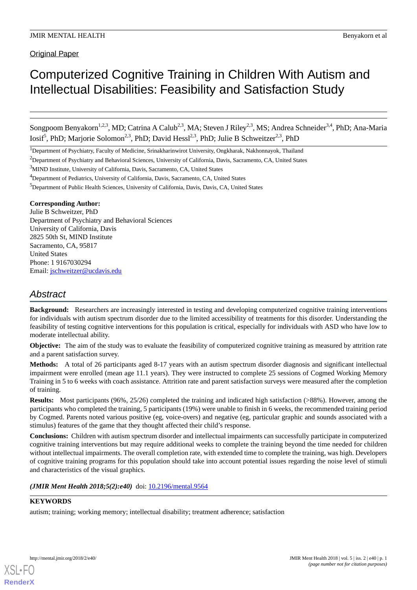Original Paper

# Computerized Cognitive Training in Children With Autism and Intellectual Disabilities: Feasibility and Satisfaction Study

Songpoom Benyakorn<sup>1,2,3</sup>, MD; Catrina A Calub<sup>2,3</sup>, MA; Steven J Riley<sup>2,3</sup>, MS; Andrea Schneider<sup>3,4</sup>, PhD; Ana-Maria Iosif<sup>5</sup>, PhD; Marjorie Solomon<sup>2,3</sup>, PhD; David Hessl<sup>2,3</sup>, PhD; Julie B Schweitzer<sup>2,3</sup>, PhD

<sup>1</sup>Department of Psychiatry, Faculty of Medicine, Srinakharinwirot University, Ongkharak, Nakhonnayok, Thailand

<sup>3</sup>MIND Institute, University of California, Davis, Sacramento, CA, United States

#### **Corresponding Author:**

Julie B Schweitzer, PhD Department of Psychiatry and Behavioral Sciences University of California, Davis 2825 50th St, MIND Institute Sacramento, CA, 95817 United States Phone: 1 9167030294 Email: [jschweitzer@ucdavis.edu](mailto:jschweitzer@ucdavis.edu)

# *Abstract*

**Background:** Researchers are increasingly interested in testing and developing computerized cognitive training interventions for individuals with autism spectrum disorder due to the limited accessibility of treatments for this disorder. Understanding the feasibility of testing cognitive interventions for this population is critical, especially for individuals with ASD who have low to moderate intellectual ability.

**Objective:** The aim of the study was to evaluate the feasibility of computerized cognitive training as measured by attrition rate and a parent satisfaction survey.

**Methods:** A total of 26 participants aged 8-17 years with an autism spectrum disorder diagnosis and significant intellectual impairment were enrolled (mean age 11.1 years). They were instructed to complete 25 sessions of Cogmed Working Memory Training in 5 to 6 weeks with coach assistance. Attrition rate and parent satisfaction surveys were measured after the completion of training.

**Results:** Most participants (96%, 25/26) completed the training and indicated high satisfaction (>88%). However, among the participants who completed the training, 5 participants (19%) were unable to finish in 6 weeks, the recommended training period by Cogmed. Parents noted various positive (eg, voice-overs) and negative (eg, particular graphic and sounds associated with a stimulus) features of the game that they thought affected their child's response.

**Conclusions:** Children with autism spectrum disorder and intellectual impairments can successfully participate in computerized cognitive training interventions but may require additional weeks to complete the training beyond the time needed for children without intellectual impairments. The overall completion rate, with extended time to complete the training, was high. Developers of cognitive training programs for this population should take into account potential issues regarding the noise level of stimuli and characteristics of the visual graphics.

(JMIR Ment Health 2018;5(2):e40) doi: [10.2196/mental.9564](http://dx.doi.org/10.2196/mental.9564)

## **KEYWORDS**

[XSL](http://www.w3.org/Style/XSL)•FO **[RenderX](http://www.renderx.com/)**

autism; training; working memory; intellectual disability; treatment adherence; satisfaction

<sup>&</sup>lt;sup>2</sup>Department of Psychiatry and Behavioral Sciences, University of California, Davis, Sacramento, CA, United States

<sup>&</sup>lt;sup>4</sup>Department of Pediatrics, University of California, Davis, Sacramento, CA, United States

<sup>&</sup>lt;sup>5</sup>Department of Public Health Sciences, University of California, Davis, Davis, CA, United States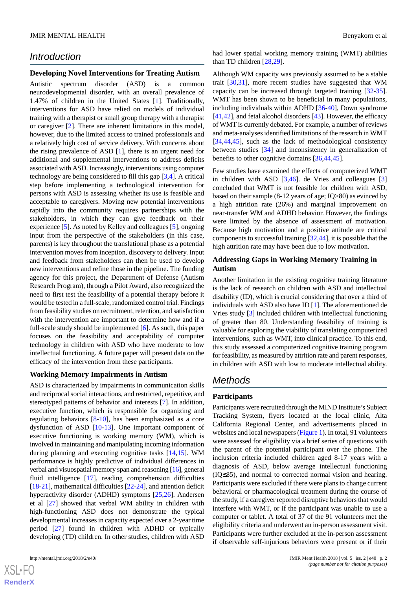# *Introduction*

#### **Developing Novel Interventions for Treating Autism**

Autistic spectrum disorder (ASD) is a common neurodevelopmental disorder, with an overall prevalence of 1.47% of children in the United States [[1\]](#page-8-0). Traditionally, interventions for ASD have relied on models of individual training with a therapist or small group therapy with a therapist or caregiver [\[2](#page-8-1)]. There are inherent limitations in this model, however, due to the limited access to trained professionals and a relatively high cost of service delivery. With concerns about the rising prevalence of ASD [[1\]](#page-8-0), there is an urgent need for additional and supplemental interventions to address deficits associated with ASD. Increasingly, interventions using computer technology are being considered to fill this gap [[3](#page-8-2)[,4](#page-8-3)]. A critical step before implementing a technological intervention for persons with ASD is assessing whether its use is feasible and acceptable to caregivers. Moving new potential interventions rapidly into the community requires partnerships with the stakeholders, in which they can give feedback on their experience [\[5](#page-8-4)]. As noted by Kelley and colleagues [[5\]](#page-8-4), ongoing input from the perspective of the stakeholders (in this case, parents) is key throughout the translational phase as a potential intervention moves from inception, discovery to delivery. Input and feedback from stakeholders can then be used to develop new interventions and refine those in the pipeline. The funding agency for this project, the Department of Defense (Autism Research Program), through a Pilot Award, also recognized the need to first test the feasibility of a potential therapy before it would be tested in a full-scale, randomized control trial. Findings from feasibility studies on recruitment, retention, and satisfaction with the intervention are important to determine how and if a full-scale study should be implemented [[6\]](#page-8-5). As such, this paper focuses on the feasibility and acceptability of computer technology in children with ASD who have moderate to low intellectual functioning. A future paper will present data on the efficacy of the intervention from these participants.

#### **Working Memory Impairments in Autism**

ASD is characterized by impairments in communication skills and reciprocal social interactions, and restricted, repetitive, and stereotyped patterns of behavior and interests [[7](#page-8-6)]. In addition, executive function, which is responsible for organizing and regulating behaviors [\[8](#page-8-7)-[10\]](#page-8-8), has been emphasized as a core dysfunction of ASD [\[10](#page-8-8)-[13\]](#page-8-9). One important component of executive functioning is working memory (WM), which is involved in maintaining and manipulating incoming information during planning and executing cognitive tasks [[14](#page-9-0)[,15\]](#page-9-1). WM performance is highly predictive of individual differences in verbal and visuospatial memory span and reasoning [[16\]](#page-9-2), general fluid intelligence [[17\]](#page-9-3), reading comprehension difficulties [[18](#page-9-4)[-21](#page-9-5)], mathematical difficulties [\[22](#page-9-6)-[24\]](#page-9-7), and attention deficit hyperactivity disorder (ADHD) symptoms [[25,](#page-9-8)[26](#page-9-9)]. Andersen et al [\[27](#page-9-10)] showed that verbal WM ability in children with high-functioning ASD does not demonstrate the typical developmental increases in capacity expected over a 2-year time period [\[27](#page-9-10)] found in children with ADHD or typically developing (TD) children. In other studies, children with ASD

 $XS$ -FO **[RenderX](http://www.renderx.com/)**

#### had lower spatial working memory training (WMT) abilities than TD children [[28](#page-9-11)[,29](#page-9-12)].

Although WM capacity was previously assumed to be a stable trait [[30,](#page-9-13)[31](#page-9-14)], more recent studies have suggested that WM capacity can be increased through targeted training [[32-](#page-9-15)[35\]](#page-9-16). WMT has been shown to be beneficial in many populations, including individuals within ADHD [\[36](#page-9-17)-[40\]](#page-10-0), Down syndrome [[41,](#page-10-1)[42\]](#page-10-2), and fetal alcohol disorders [\[43](#page-10-3)]. However, the efficacy of WMT is currently debated. For example, a number of reviews and meta-analyses identified limitations of the research in WMT [[34,](#page-9-18)[44,](#page-10-4)[45\]](#page-10-5), such as the lack of methodological consistency between studies [[34\]](#page-9-18) and inconsistency in generalization of benefits to other cognitive domains [[36](#page-9-17)[,44](#page-10-4),[45\]](#page-10-5).

Few studies have examined the effects of computerized WMT in children with ASD [\[3](#page-8-2),[46\]](#page-10-6). de Vries and colleagues [\[3](#page-8-2)] concluded that WMT is not feasible for children with ASD, based on their sample (8-12 years of age; IQ>80) as evinced by a high attrition rate (26%) and marginal improvement on near-transfer WM and ADHD behavior. However, the findings were limited by the absence of assessment of motivation. Because high motivation and a positive attitude are critical components to successful training [[32](#page-9-15)[,44](#page-10-4)], it is possible that the high attrition rate may have been due to low motivation.

## **Addressing Gaps in Working Memory Training in Autism**

Another limitation in the existing cognitive training literature is the lack of research on children with ASD and intellectual disability (ID), which is crucial considering that over a third of individuals with ASD also have ID [[1](#page-8-0)]. The aforementioned de Vries study [[3\]](#page-8-2) included children with intellectual functioning of greater than 80. Understanding feasibility of training is valuable for exploring the viability of translating computerized interventions, such as WMT, into clinical practice. To this end, this study assessed a computerized cognitive training program for feasibility, as measured by attrition rate and parent responses, in children with ASD with low to moderate intellectual ability.

# *Methods*

## **Participants**

Participants were recruited through the MIND Institute's Subject Tracking System, flyers located at the local clinic, Alta California Regional Center, and advertisements placed in websites and local newspapers ([Figure 1](#page-2-0)). In total, 91 volunteers were assessed for eligibility via a brief series of questions with the parent of the potential participant over the phone. The inclusion criteria included children aged 8-17 years with a diagnosis of ASD, below average intellectual functioning (IQ≤85), and normal to corrected normal vision and hearing. Participants were excluded if there were plans to change current behavioral or pharmacological treatment during the course of the study, if a caregiver reported disruptive behaviors that would interfere with WMT, or if the participant was unable to use a computer or tablet. A total of 37 of the 91 volunteers met the eligibility criteria and underwent an in-person assessment visit. Participants were further excluded at the in-person assessment if observable self-injurious behaviors were present or if their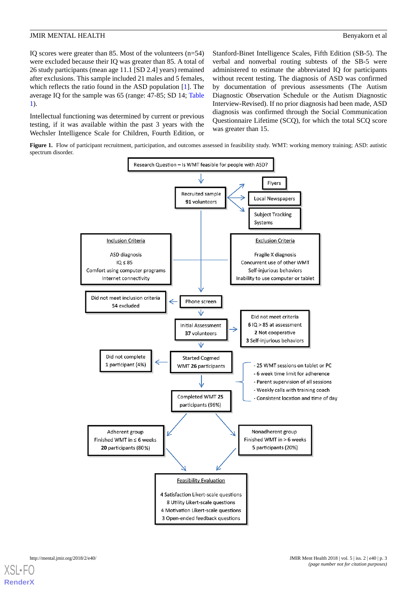IQ scores were greater than 85. Most of the volunteers (n=54) were excluded because their IQ was greater than 85. A total of 26 study participants (mean age 11.1 [SD 2.4] years) remained after exclusions. This sample included 21 males and 5 females, which reflects the ratio found in the ASD population [\[1](#page-8-0)]. The average IQ for the sample was 65 (range: 47-85; SD 14; [Table](#page-3-0) [1\)](#page-3-0).

Intellectual functioning was determined by current or previous testing, if it was available within the past 3 years with the Wechsler Intelligence Scale for Children, Fourth Edition, or Stanford-Binet Intelligence Scales, Fifth Edition (SB-5). The verbal and nonverbal routing subtests of the SB-5 were administered to estimate the abbreviated IQ for participants without recent testing. The diagnosis of ASD was confirmed by documentation of previous assessments (The Autism Diagnostic Observation Schedule or the Autism Diagnostic Interview-Revised). If no prior diagnosis had been made, ASD diagnosis was confirmed through the Social Communication Questionnaire Lifetime (SCQ), for which the total SCQ score was greater than 15.

<span id="page-2-0"></span>**Figure 1.** Flow of participant recruitment, participation, and outcomes assessed in feasibility study. WMT: working memory training; ASD: autistic spectrum disorder.

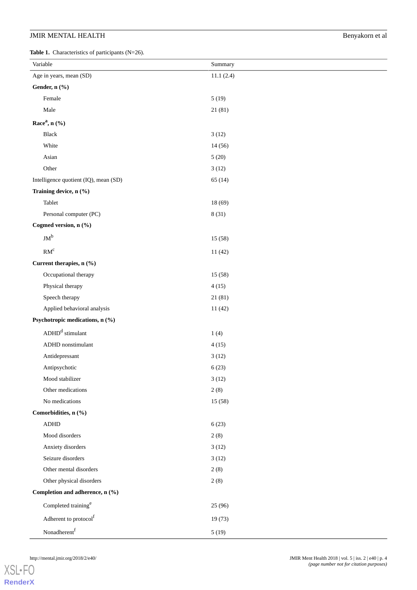<span id="page-3-0"></span>**Table 1.** Characteristics of participants (N=26).

| <b>rapic 1.</b> Characteristics of participants $(1 - 20)$ . |           |  |
|--------------------------------------------------------------|-----------|--|
| Variable                                                     | Summary   |  |
| Age in years, mean (SD)                                      | 11.1(2.4) |  |
| Gender, n (%)                                                |           |  |
| Female                                                       | 5(19)     |  |
| Male                                                         | 21(81)    |  |
| Race <sup>a</sup> , n (%)                                    |           |  |
| Black                                                        | 3(12)     |  |
| White                                                        | 14(56)    |  |
| Asian                                                        | 5(20)     |  |
| Other                                                        | 3(12)     |  |
| Intelligence quotient (IQ), mean (SD)                        | 65(14)    |  |
| Training device, n (%)                                       |           |  |
| Tablet                                                       | 18(69)    |  |
| Personal computer (PC)                                       | 8(31)     |  |
| Cogmed version, n (%)                                        |           |  |
| $JM^b$                                                       | 15(58)    |  |
| $\mathrm{RM}^\mathrm{c}$                                     | 11(42)    |  |
| Current therapies, n (%)                                     |           |  |
| Occupational therapy                                         | 15(58)    |  |
| Physical therapy                                             | 4(15)     |  |
| Speech therapy                                               | 21(81)    |  |
| Applied behavioral analysis                                  | 11(42)    |  |
| Psychotropic medications, n (%)                              |           |  |
| $ADDHDd$ stimulant                                           | 1(4)      |  |
| ADHD nonstimulant                                            | 4(15)     |  |
| Antidepressant                                               | 3(12)     |  |
| Antipsychotic                                                | 6(23)     |  |
| Mood stabilizer                                              | 3(12)     |  |
| Other medications                                            | 2(8)      |  |
| No medications                                               | 15(58)    |  |
| Comorbidities, n (%)                                         |           |  |
| ${\bf A}{\bf D}{\bf H}{\bf D}$                               | 6(23)     |  |
| Mood disorders                                               | 2(8)      |  |
| Anxiety disorders                                            | 3(12)     |  |
| Seizure disorders                                            | 3(12)     |  |
| Other mental disorders                                       | 2(8)      |  |
| Other physical disorders                                     | 2(8)      |  |
| Completion and adherence, n (%)                              |           |  |
| Completed training <sup>e</sup>                              | 25 (96)   |  |
| Adherent to protocol <sup>f</sup>                            | 19(73)    |  |
| Nonadherent $f$                                              | 5(19)     |  |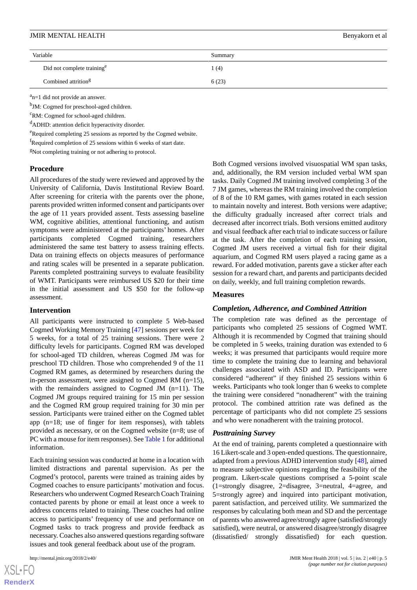| Variable                               | Summary |
|----------------------------------------|---------|
| Did not complete training <sup>e</sup> | (4)     |
| Combined attrition <sup>g</sup>        | 6(23)   |

<sup>a</sup>n=1 did not provide an answer.

<sup>b</sup>JM: Cogmed for preschool-aged children.

<sup>c</sup>RM: Cogmed for school-aged children.

<sup>d</sup>ADHD: attention deficit hyperactivity disorder.

eRequired completing 25 sessions as reported by the Cogmed website.

<sup>f</sup>Required completion of 25 sessions within 6 weeks of start date.

<sup>g</sup>Not completing training or not adhering to protocol.

#### **Procedure**

All procedures of the study were reviewed and approved by the University of California, Davis Institutional Review Board. After screening for criteria with the parents over the phone, parents provided written informed consent and participants over the age of 11 years provided assent. Tests assessing baseline WM, cognitive abilities, attentional functioning, and autism symptoms were administered at the participants' homes. After participants completed Cogmed training, researchers administered the same test battery to assess training effects. Data on training effects on objects measures of performance and rating scales will be presented in a separate publication. Parents completed posttraining surveys to evaluate feasibility of WMT. Participants were reimbursed US \$20 for their time in the initial assessment and US \$50 for the follow-up assessment.

#### **Intervention**

All participants were instructed to complete 5 Web-based Cogmed Working Memory Training [[47\]](#page-10-7) sessions per week for 5 weeks, for a total of 25 training sessions. There were 2 difficulty levels for participants. Cogmed RM was developed for school-aged TD children, whereas Cogmed JM was for preschool TD children. Those who comprehended 9 of the 11 Cogmed RM games, as determined by researchers during the in-person assessment, were assigned to Cogmed RM (n=15), with the remainders assigned to Cogmed JM (n=11). The Cogmed JM groups required training for 15 min per session and the Cogmed RM group required training for 30 min per session. Participants were trained either on the Cogmed tablet app (n=18; use of finger for item responses), with tablets provided as necessary, or on the Cogmed website (n=8; use of PC with a mouse for item responses). See [Table 1](#page-3-0) for additional information.

Each training session was conducted at home in a location with limited distractions and parental supervision. As per the Cogmed's protocol, parents were trained as training aides by Cogmed coaches to ensure participants' motivation and focus. Researchers who underwent Cogmed Research Coach Training contacted parents by phone or email at least once a week to address concerns related to training. These coaches had online access to participants' frequency of use and performance on Cogmed tasks to track progress and provide feedback as necessary. Coaches also answered questions regarding software issues and took general feedback about use of the program.

 $XS$  • FC **[RenderX](http://www.renderx.com/)** Both Cogmed versions involved visuospatial WM span tasks, and, additionally, the RM version included verbal WM span tasks. Daily Cogmed JM training involved completing 3 of the 7 JM games, whereas the RM training involved the completion of 8 of the 10 RM games, with games rotated in each session to maintain novelty and interest. Both versions were adaptive; the difficulty gradually increased after correct trials and decreased after incorrect trials. Both versions emitted auditory and visual feedback after each trial to indicate success or failure at the task. After the completion of each training session, Cogmed JM users received a virtual fish for their digital aquarium, and Cogmed RM users played a racing game as a reward. For added motivation, parents gave a sticker after each session for a reward chart, and parents and participants decided on daily, weekly, and full training completion rewards.

#### **Measures**

#### *Completion, Adherence, and Combined Attrition*

The completion rate was defined as the percentage of participants who completed 25 sessions of Cogmed WMT. Although it is recommended by Cogmed that training should be completed in 5 weeks, training duration was extended to 6 weeks; it was presumed that participants would require more time to complete the training due to learning and behavioral challenges associated with ASD and ID. Participants were considered "adherent" if they finished 25 sessions within 6 weeks. Participants who took longer than 6 weeks to complete the training were considered "nonadherent" with the training protocol. The combined attrition rate was defined as the percentage of participants who did not complete 25 sessions and who were nonadherent with the training protocol.

#### *Posttraining Survey*

At the end of training, parents completed a questionnaire with 16 Likert-scale and 3 open-ended questions. The questionnaire, adapted from a previous ADHD intervention study [\[48](#page-10-8)], aimed to measure subjective opinions regarding the feasibility of the program. Likert-scale questions comprised a 5-point scale (1=strongly disagree, 2=disagree, 3=neutral, 4=agree, and 5=strongly agree) and inquired into participant motivation, parent satisfaction, and perceived utility. We summarized the responses by calculating both mean and SD and the percentage of parents who answered agree/strongly agree (satisfied/strongly satisfied), were neutral, or answered disagree/strongly disagree (dissatisfied/ strongly dissatisfied) for each question.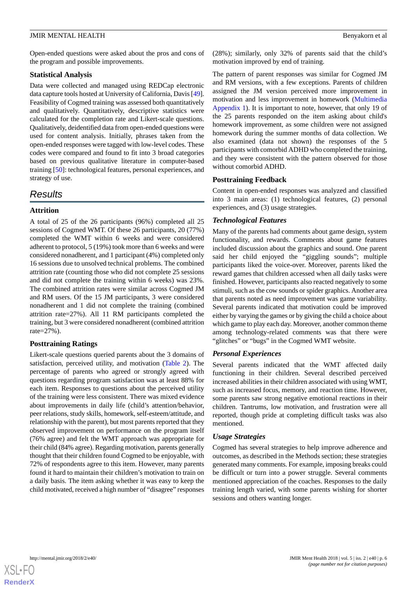Open-ended questions were asked about the pros and cons of the program and possible improvements.

## **Statistical Analysis**

Data were collected and managed using REDCap electronic data capture tools hosted at University of California, Davis [\[49\]](#page-10-9). Feasibility of Cogmed training was assessed both quantitatively and qualitatively. Quantitatively, descriptive statistics were calculated for the completion rate and Likert-scale questions. Qualitatively, deidentified data from open-ended questions were used for content analysis. Initially, phrases taken from the open-ended responses were tagged with low-level codes. These codes were compared and found to fit into 3 broad categories based on previous qualitative literature in computer-based training [\[50](#page-10-10)]: technological features, personal experiences, and strategy of use.

# *Results*

## **Attrition**

A total of 25 of the 26 participants (96%) completed all 25 sessions of Cogmed WMT. Of these 26 participants, 20 (77%) completed the WMT within 6 weeks and were considered adherent to protocol, 5 (19%) took more than 6 weeks and were considered nonadherent, and 1 participant (4%) completed only 16 sessions due to unsolved technical problems. The combined attrition rate (counting those who did not complete 25 sessions and did not complete the training within 6 weeks) was 23%. The combined attrition rates were similar across Cogmed JM and RM users. Of the 15 JM participants, 3 were considered nonadherent and 1 did not complete the training (combined attrition rate=27%). All 11 RM participants completed the training, but 3 were considered nonadherent (combined attrition rate=27%).

## **Posttraining Ratings**

Likert-scale questions queried parents about the 3 domains of satisfaction, perceived utility, and motivation [\(Table 2](#page-6-0)). The percentage of parents who agreed or strongly agreed with questions regarding program satisfaction was at least 88% for each item. Responses to questions about the perceived utility of the training were less consistent. There was mixed evidence about improvements in daily life (child's attention/behavior, peer relations, study skills, homework, self-esteem/attitude, and relationship with the parent), but most parents reported that they observed improvement on performance on the program itself (76% agree) and felt the WMT approach was appropriate for their child (84% agree). Regarding motivation, parents generally thought that their children found Cogmed to be enjoyable, with 72% of respondents agree to this item. However, many parents found it hard to maintain their children's motivation to train on a daily basis. The item asking whether it was easy to keep the child motivated, received a high number of "disagree" responses

(28%); similarly, only 32% of parents said that the child's motivation improved by end of training.

The pattern of parent responses was similar for Cogmed JM and RM versions, with a few exceptions. Parents of children assigned the JM version perceived more improvement in motivation and less improvement in homework [\(Multimedia](#page-8-10) [Appendix 1](#page-8-10)). It is important to note, however, that only 19 of the 25 parents responded on the item asking about child's homework improvement, as some children were not assigned homework during the summer months of data collection. We also examined (data not shown) the responses of the 5 participants with comorbid ADHD who completed the training, and they were consistent with the pattern observed for those without comorbid ADHD.

## **Posttraining Feedback**

Content in open-ended responses was analyzed and classified into 3 main areas: (1) technological features, (2) personal experiences, and (3) usage strategies.

## *Technological Features*

Many of the parents had comments about game design, system functionality, and rewards. Comments about game features included discussion about the graphics and sound. One parent said her child enjoyed the "giggling sounds"; multiple participants liked the voice-over. Moreover, parents liked the reward games that children accessed when all daily tasks were finished. However, participants also reacted negatively to some stimuli, such as the cow sounds or spider graphics. Another area that parents noted as need improvement was game variability. Several parents indicated that motivation could be improved either by varying the games or by giving the child a choice about which game to play each day. Moreover, another common theme among technology-related comments was that there were "glitches" or "bugs" in the Cogmed WMT website.

## *Personal Experiences*

Several parents indicated that the WMT affected daily functioning in their children. Several described perceived increased abilities in their children associated with using WMT, such as increased focus, memory, and reaction time. However, some parents saw strong negative emotional reactions in their children. Tantrums, low motivation, and frustration were all reported, though pride at completing difficult tasks was also mentioned.

## *Usage Strategies*

Cogmed has several strategies to help improve adherence and outcomes, as described in the Methods section; these strategies generated many comments. For example, imposing breaks could be difficult or turn into a power struggle. Several comments mentioned appreciation of the coaches. Responses to the daily training length varied, with some parents wishing for shorter sessions and others wanting longer.

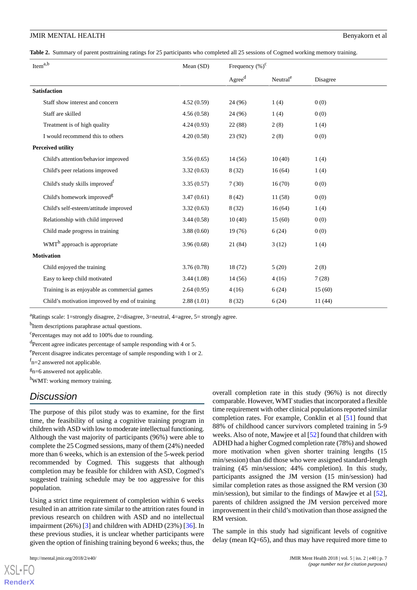<span id="page-6-0"></span>**Table 2.** Summary of parent posttraining ratings for 25 participants who completed all 25 sessions of Cogmed working memory training.

| Item <sup>a,b</sup>                            | Mean (SD)  | Frequency $(\%)^c$ |                      |          |
|------------------------------------------------|------------|--------------------|----------------------|----------|
|                                                |            | $\rm{Agree}^d$     | Neutral <sup>e</sup> | Disagree |
| <b>Satisfaction</b>                            |            |                    |                      |          |
| Staff show interest and concern                | 4.52(0.59) | 24 (96)            | 1(4)                 | 0(0)     |
| Staff are skilled                              | 4.56(0.58) | 24 (96)            | 1(4)                 | 0(0)     |
| Treatment is of high quality                   | 4.24(0.93) | 22 (88)            | 2(8)                 | 1(4)     |
| I would recommend this to others               | 4.20(0.58) | 23 (92)            | 2(8)                 | 0(0)     |
| <b>Perceived utility</b>                       |            |                    |                      |          |
| Child's attention/behavior improved            | 3.56(0.65) | 14(56)             | 10(40)               | 1(4)     |
| Child's peer relations improved                | 3.32(0.63) | 8(32)              | 16(64)               | 1(4)     |
| Child's study skills improved <sup>f</sup>     | 3.35(0.57) | 7(30)              | 16(70)               | 0(0)     |
| Child's homework improved <sup>g</sup>         | 3.47(0.61) | 8(42)              | 11(58)               | 0(0)     |
| Child's self-esteem/attitude improved          | 3.32(0.63) | 8(32)              | 16(64)               | 1(4)     |
| Relationship with child improved               | 3.44(0.58) | 10(40)             | 15(60)               | 0(0)     |
| Child made progress in training                | 3.88(0.60) | 19(76)             | 6(24)                | 0(0)     |
| WMT <sup>h</sup> approach is appropriate       | 3.96(0.68) | 21 (84)            | 3(12)                | 1(4)     |
| <b>Motivation</b>                              |            |                    |                      |          |
| Child enjoyed the training                     | 3.76(0.78) | 18(72)             | 5(20)                | 2(8)     |
| Easy to keep child motivated                   | 3.44(1.08) | 14(56)             | 4(16)                | 7(28)    |
| Training is as enjoyable as commercial games   | 2.64(0.95) | 4(16)              | 6(24)                | 15(60)   |
| Child's motivation improved by end of training | 2.88(1.01) | 8(32)              | 6(24)                | 11 (44)  |

<sup>a</sup>Ratings scale: 1=strongly disagree, 2=disagree, 3=neutral, 4=agree, 5= strongly agree.

<sup>b</sup>Item descriptions paraphrase actual questions.

<sup>c</sup>Percentages may not add to 100% due to rounding.

<sup>d</sup>Percent agree indicates percentage of sample responding with 4 or 5.

ePercent disagree indicates percentage of sample responding with 1 or 2.

f<sub>n=2</sub> answered not applicable.

<sup>g</sup>n=6 answered not applicable.

hWMT: working memory training.

## *Discussion*

The purpose of this pilot study was to examine, for the first time, the feasibility of using a cognitive training program in children with ASD with low to moderate intellectual functioning. Although the vast majority of participants (96%) were able to complete the 25 Cogmed sessions, many of them (24%) needed more than 6 weeks, which is an extension of the 5-week period recommended by Cogmed. This suggests that although completion may be feasible for children with ASD, Cogmed's suggested training schedule may be too aggressive for this population.

Using a strict time requirement of completion within 6 weeks resulted in an attrition rate similar to the attrition rates found in previous research on children with ASD and no intellectual impairment (26%) [\[3](#page-8-2)] and children with ADHD (23%) [\[36](#page-9-17)]. In these previous studies, it is unclear whether participants were given the option of finishing training beyond 6 weeks; thus, the

overall completion rate in this study (96%) is not directly comparable. However, WMT studies that incorporated a flexible time requirement with other clinical populations reported similar completion rates. For example, Conklin et al [\[51](#page-10-11)] found that 88% of childhood cancer survivors completed training in 5-9 weeks. Also of note, Mawjee et al [\[52](#page-10-12)] found that children with ADHD had a higher Cogmed completion rate (78%) and showed more motivation when given shorter training lengths (15 min/session) than did those who were assigned standard-length training (45 min/session; 44% completion). In this study, participants assigned the JM version (15 min/session) had similar completion rates as those assigned the RM version (30 min/session), but similar to the findings of Mawjee et al [[52\]](#page-10-12), parents of children assigned the JM version perceived more improvement in their child's motivation than those assigned the RM version.

The sample in this study had significant levels of cognitive delay (mean IQ=65), and thus may have required more time to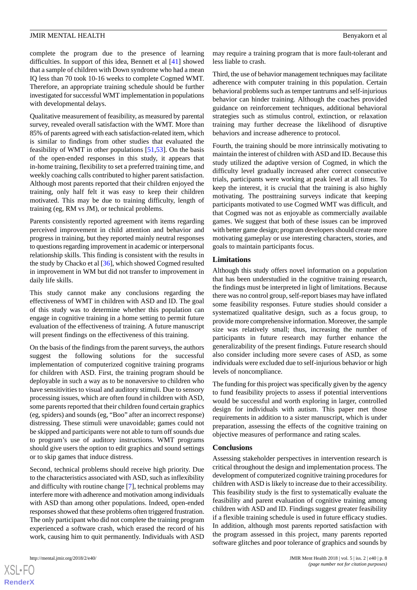complete the program due to the presence of learning difficulties. In support of this idea, Bennett et al [[41\]](#page-10-1) showed that a sample of children with Down syndrome who had a mean IQ less than 70 took 10-16 weeks to complete Cogmed WMT. Therefore, an appropriate training schedule should be further investigated for successful WMT implementation in populations with developmental delays.

Qualitative measurement of feasibility, as measured by parental survey, revealed overall satisfaction with the WMT. More than 85% of parents agreed with each satisfaction-related item, which is similar to findings from other studies that evaluated the feasibility of WMT in other populations [\[51](#page-10-11),[53\]](#page-10-13). On the basis of the open-ended responses in this study, it appears that in-home training, flexibility to set a preferred training time, and weekly coaching calls contributed to higher parent satisfaction. Although most parents reported that their children enjoyed the training, only half felt it was easy to keep their children motivated. This may be due to training difficulty, length of training (eg, RM vs JM), or technical problems.

Parents consistently reported agreement with items regarding perceived improvement in child attention and behavior and progress in training, but they reported mainly neutral responses to questions regarding improvement in academic or interpersonal relationship skills. This finding is consistent with the results in the study by Chacko et al [\[36](#page-9-17)], which showed Cogmed resulted in improvement in WM but did not transfer to improvement in daily life skills.

This study cannot make any conclusions regarding the effectiveness of WMT in children with ASD and ID. The goal of this study was to determine whether this population can engage in cognitive training in a home setting to permit future evaluation of the effectiveness of training. A future manuscript will present findings on the effectiveness of this training.

On the basis of the findings from the parent surveys, the authors suggest the following solutions for the successful implementation of computerized cognitive training programs for children with ASD. First, the training program should be deployable in such a way as to be nonaversive to children who have sensitivities to visual and auditory stimuli. Due to sensory processing issues, which are often found in children with ASD, some parents reported that their children found certain graphics (eg, spiders) and sounds (eg, "Boo" after an incorrect response) distressing. These stimuli were unavoidable; games could not be skipped and participants were not able to turn off sounds due to program's use of auditory instructions. WMT programs should give users the option to edit graphics and sound settings or to skip games that induce distress.

Second, technical problems should receive high priority. Due to the characteristics associated with ASD, such as inflexibility and difficulty with routine change [\[7](#page-8-6)], technical problems may interfere more with adherence and motivation among individuals with ASD than among other populations. Indeed, open-ended responses showed that these problems often triggered frustration. The only participant who did not complete the training program experienced a software crash, which erased the record of his work, causing him to quit permanently. Individuals with ASD

may require a training program that is more fault-tolerant and less liable to crash.

Third, the use of behavior management techniques may facilitate adherence with computer training in this population. Certain behavioral problems such as temper tantrums and self-injurious behavior can hinder training. Although the coaches provided guidance on reinforcement techniques, additional behavioral strategies such as stimulus control, extinction, or relaxation training may further decrease the likelihood of disruptive behaviors and increase adherence to protocol.

Fourth, the training should be more intrinsically motivating to maintain the interest of children with ASD and ID. Because this study utilized the adaptive version of Cogmed, in which the difficulty level gradually increased after correct consecutive trials, participants were working at peak level at all times. To keep the interest, it is crucial that the training is also highly motivating. The posttraining surveys indicate that keeping participants motivated to use Cogmed WMT was difficult, and that Cogmed was not as enjoyable as commercially available games. We suggest that both of these issues can be improved with better game design; program developers should create more motivating gameplay or use interesting characters, stories, and goals to maintain participants focus.

## **Limitations**

Although this study offers novel information on a population that has been understudied in the cognitive training research, the findings must be interpreted in light of limitations. Because there was no control group, self-report biases may have inflated some feasibility responses. Future studies should consider a systematized qualitative design, such as a focus group, to provide more comprehensive information. Moreover, the sample size was relatively small; thus, increasing the number of participants in future research may further enhance the generalizability of the present findings. Future research should also consider including more severe cases of ASD, as some individuals were excluded due to self-injurious behavior or high levels of noncompliance.

The funding for this project was specifically given by the agency to fund feasibility projects to assess if potential interventions would be successful and worth exploring in larger, controlled design for individuals with autism. This paper met those requirements in addition to a sister manuscript, which is under preparation, assessing the effects of the cognitive training on objective measures of performance and rating scales.

#### **Conclusions**

Assessing stakeholder perspectives in intervention research is critical throughout the design and implementation process. The development of computerized cognitive training procedures for children with ASD is likely to increase due to their accessibility. This feasibility study is the first to systematically evaluate the feasibility and parent evaluation of cognitive training among children with ASD and ID. Findings suggest greater feasibility if a flexible training schedule is used in future efficacy studies. In addition, although most parents reported satisfaction with the program assessed in this project, many parents reported software glitches and poor tolerance of graphics and sounds by

 $XS$ -FO **[RenderX](http://www.renderx.com/)**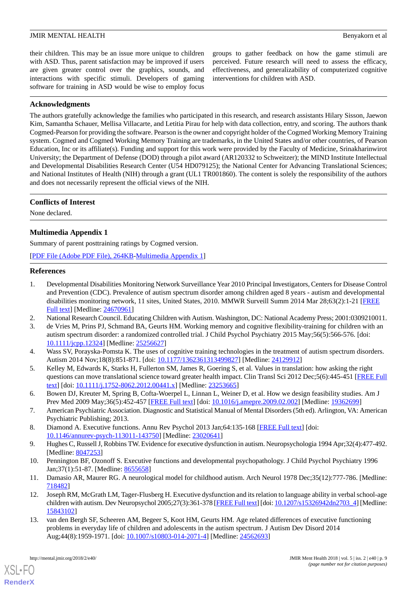their children. This may be an issue more unique to children with ASD. Thus, parent satisfaction may be improved if users are given greater control over the graphics, sounds, and interactions with specific stimuli. Developers of gaming software for training in ASD would be wise to employ focus groups to gather feedback on how the game stimuli are perceived. Future research will need to assess the efficacy, effectiveness, and generalizability of computerized cognitive interventions for children with ASD.

## **Acknowledgments**

The authors gratefully acknowledge the families who participated in this research, and research assistants Hilary Sisson, Jaewon Kim, Samantha Schauer, Mellisa Villacarte, and Letitia Pirau for help with data collection, entry, and scoring. The authors thank Cogmed-Pearson for providing the software. Pearson is the owner and copyright holder of the Cogmed Working Memory Training system. Cogmed and Cogmed Working Memory Training are trademarks, in the United States and/or other countries, of Pearson Education, Inc or its affiliate(s). Funding and support for this work were provided by the Faculty of Medicine, Srinakharinwirot University; the Department of Defense (DOD) through a pilot award (AR120332 to Schweitzer); the MIND Institute Intellectual and Developmental Disabilities Research Center (U54 HD079125); the National Center for Advancing Translational Sciences; and National Institutes of Health (NIH) through a grant (UL1 TR001860). The content is solely the responsibility of the authors and does not necessarily represent the official views of the NIH.

## **Conflicts of Interest**

<span id="page-8-10"></span>None declared.

## **Multimedia Appendix 1**

Summary of parent posttraining ratings by Cogmed version.

<span id="page-8-0"></span>[[PDF File \(Adobe PDF File\), 264KB-Multimedia Appendix 1](https://jmir.org/api/download?alt_name=mental_v5i2e40_app1.pdf&filename=5a4a2db5f97b5d4852be757999ad0138.pdf)]

## **References**

- <span id="page-8-2"></span><span id="page-8-1"></span>1. Developmental Disabilities Monitoring Network Surveillance Year 2010 Principal Investigators, Centers for Disease Control and Prevention (CDC). Prevalence of autism spectrum disorder among children aged 8 years - autism and developmental disabilities monitoring network, 11 sites, United States, 2010. MMWR Surveill Summ 2014 Mar 28;63(2):1-21 [[FREE](http://www.cdc.gov/mmwr/preview/mmwrhtml/ss6302a1.htm) [Full text\]](http://www.cdc.gov/mmwr/preview/mmwrhtml/ss6302a1.htm) [Medline: [24670961\]](http://www.ncbi.nlm.nih.gov/entrez/query.fcgi?cmd=Retrieve&db=PubMed&list_uids=24670961&dopt=Abstract)
- <span id="page-8-3"></span>2. National Research Council. Educating Children with Autism. Washington, DC: National Academy Press; 2001:0309210011.
- <span id="page-8-4"></span>3. de Vries M, Prins PJ, Schmand BA, Geurts HM. Working memory and cognitive flexibility-training for children with an autism spectrum disorder: a randomized controlled trial. J Child Psychol Psychiatry 2015 May;56(5):566-576. [doi: [10.1111/jcpp.12324](http://dx.doi.org/10.1111/jcpp.12324)] [Medline: [25256627](http://www.ncbi.nlm.nih.gov/entrez/query.fcgi?cmd=Retrieve&db=PubMed&list_uids=25256627&dopt=Abstract)]
- <span id="page-8-5"></span>4. Wass SV, Porayska-Pomsta K. The uses of cognitive training technologies in the treatment of autism spectrum disorders. Autism 2014 Nov;18(8):851-871. [doi: [10.1177/1362361313499827](http://dx.doi.org/10.1177/1362361313499827)] [Medline: [24129912](http://www.ncbi.nlm.nih.gov/entrez/query.fcgi?cmd=Retrieve&db=PubMed&list_uids=24129912&dopt=Abstract)]
- <span id="page-8-6"></span>5. Kelley M, Edwards K, Starks H, Fullerton SM, James R, Goering S, et al. Values in translation: how asking the right questions can move translational science toward greater health impact. Clin Transl Sci 2012 Dec;5(6):445-451 [[FREE Full](https://dx.doi.org/10.1111/j.1752-8062.2012.00441.x) [text](https://dx.doi.org/10.1111/j.1752-8062.2012.00441.x)] [doi: [10.1111/j.1752-8062.2012.00441.x\]](http://dx.doi.org/10.1111/j.1752-8062.2012.00441.x) [Medline: [23253665\]](http://www.ncbi.nlm.nih.gov/entrez/query.fcgi?cmd=Retrieve&db=PubMed&list_uids=23253665&dopt=Abstract)
- <span id="page-8-7"></span>6. Bowen DJ, Kreuter M, Spring B, Cofta-Woerpel L, Linnan L, Weiner D, et al. How we design feasibility studies. Am J Prev Med 2009 May;36(5):452-457 [\[FREE Full text\]](http://europepmc.org/abstract/MED/19362699) [doi: [10.1016/j.amepre.2009.02.002](http://dx.doi.org/10.1016/j.amepre.2009.02.002)] [Medline: [19362699](http://www.ncbi.nlm.nih.gov/entrez/query.fcgi?cmd=Retrieve&db=PubMed&list_uids=19362699&dopt=Abstract)]
- <span id="page-8-8"></span>7. American Psychiatric Association. Diagnostic and Statistical Manual of Mental Disorders (5th ed). Arlington, VA: American Psychiatric Publishing; 2013.
- 8. Diamond A. Executive functions. Annu Rev Psychol 2013 Jan;64:135-168 [\[FREE Full text\]](http://europepmc.org/abstract/MED/23020641) [doi: [10.1146/annurev-psych-113011-143750](http://dx.doi.org/10.1146/annurev-psych-113011-143750)] [Medline: [23020641\]](http://www.ncbi.nlm.nih.gov/entrez/query.fcgi?cmd=Retrieve&db=PubMed&list_uids=23020641&dopt=Abstract)
- 9. Hughes C, Russell J, Robbins TW. Evidence for executive dysfunction in autism. Neuropsychologia 1994 Apr;32(4):477-492. [Medline: [8047253\]](http://www.ncbi.nlm.nih.gov/entrez/query.fcgi?cmd=Retrieve&db=PubMed&list_uids=8047253&dopt=Abstract)
- <span id="page-8-9"></span>10. Pennington BF, Ozonoff S. Executive functions and developmental psychopathology. J Child Psychol Psychiatry 1996 Jan;37(1):51-87. [Medline: [8655658](http://www.ncbi.nlm.nih.gov/entrez/query.fcgi?cmd=Retrieve&db=PubMed&list_uids=8655658&dopt=Abstract)]
- 11. Damasio AR, Maurer RG. A neurological model for childhood autism. Arch Neurol 1978 Dec;35(12):777-786. [Medline: [718482](http://www.ncbi.nlm.nih.gov/entrez/query.fcgi?cmd=Retrieve&db=PubMed&list_uids=718482&dopt=Abstract)]
- 12. Joseph RM, McGrath LM, Tager-Flusberg H. Executive dysfunction and its relation to language ability in verbal school-age children with autism. Dev Neuropsychol 2005;27(3):361-378 [[FREE Full text\]](http://europepmc.org/abstract/MED/15843102) [doi: [10.1207/s15326942dn2703\\_4](http://dx.doi.org/10.1207/s15326942dn2703_4)] [Medline: [15843102](http://www.ncbi.nlm.nih.gov/entrez/query.fcgi?cmd=Retrieve&db=PubMed&list_uids=15843102&dopt=Abstract)]
- 13. van den Bergh SF, Scheeren AM, Begeer S, Koot HM, Geurts HM. Age related differences of executive functioning problems in everyday life of children and adolescents in the autism spectrum. J Autism Dev Disord 2014 Aug;44(8):1959-1971. [doi: [10.1007/s10803-014-2071-4\]](http://dx.doi.org/10.1007/s10803-014-2071-4) [Medline: [24562693\]](http://www.ncbi.nlm.nih.gov/entrez/query.fcgi?cmd=Retrieve&db=PubMed&list_uids=24562693&dopt=Abstract)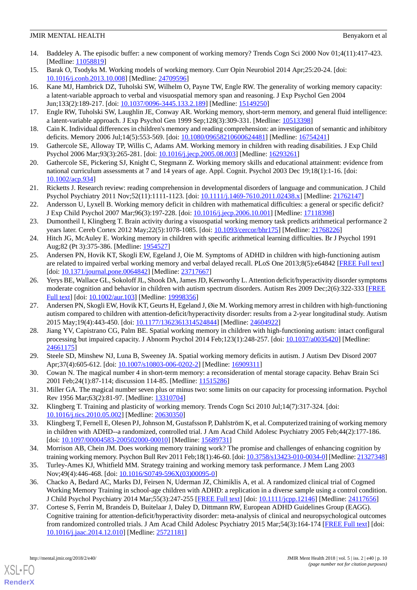- <span id="page-9-0"></span>14. Baddeley A. The episodic buffer: a new component of working memory? Trends Cogn Sci 2000 Nov 01;4(11):417-423. [Medline: [11058819](http://www.ncbi.nlm.nih.gov/entrez/query.fcgi?cmd=Retrieve&db=PubMed&list_uids=11058819&dopt=Abstract)]
- <span id="page-9-1"></span>15. Barak O, Tsodyks M. Working models of working memory. Curr Opin Neurobiol 2014 Apr;25:20-24. [doi: [10.1016/j.conb.2013.10.008\]](http://dx.doi.org/10.1016/j.conb.2013.10.008) [Medline: [24709596](http://www.ncbi.nlm.nih.gov/entrez/query.fcgi?cmd=Retrieve&db=PubMed&list_uids=24709596&dopt=Abstract)]
- <span id="page-9-2"></span>16. Kane MJ, Hambrick DZ, Tuholski SW, Wilhelm O, Payne TW, Engle RW. The generality of working memory capacity: a latent-variable approach to verbal and visuospatial memory span and reasoning. J Exp Psychol Gen 2004 Jun;133(2):189-217. [doi: [10.1037/0096-3445.133.2.189\]](http://dx.doi.org/10.1037/0096-3445.133.2.189) [Medline: [15149250](http://www.ncbi.nlm.nih.gov/entrez/query.fcgi?cmd=Retrieve&db=PubMed&list_uids=15149250&dopt=Abstract)]
- <span id="page-9-4"></span><span id="page-9-3"></span>17. Engle RW, Tuholski SW, Laughlin JE, Conway AR. Working memory, short-term memory, and general fluid intelligence: a latent-variable approach. J Exp Psychol Gen 1999 Sep;128(3):309-331. [Medline: [10513398](http://www.ncbi.nlm.nih.gov/entrez/query.fcgi?cmd=Retrieve&db=PubMed&list_uids=10513398&dopt=Abstract)]
- 18. Cain K. Individual differences in children's memory and reading comprehension: an investigation of semantic and inhibitory deficits. Memory 2006 Jul;14(5):553-569. [doi: [10.1080/09658210600624481](http://dx.doi.org/10.1080/09658210600624481)] [Medline: [16754241\]](http://www.ncbi.nlm.nih.gov/entrez/query.fcgi?cmd=Retrieve&db=PubMed&list_uids=16754241&dopt=Abstract)
- 19. Gathercole SE, Alloway TP, Willis C, Adams AM. Working memory in children with reading disabilities. J Exp Child Psychol 2006 Mar;93(3):265-281. [doi: [10.1016/j.jecp.2005.08.003](http://dx.doi.org/10.1016/j.jecp.2005.08.003)] [Medline: [16293261](http://www.ncbi.nlm.nih.gov/entrez/query.fcgi?cmd=Retrieve&db=PubMed&list_uids=16293261&dopt=Abstract)]
- <span id="page-9-5"></span>20. Gathercole SE, Pickering SJ, Knight C, Stegmann Z. Working memory skills and educational attainment: evidence from national curriculum assessments at 7 and 14 years of age. Appl. Cognit. Psychol 2003 Dec 19;18(1):1-16. [doi: [10.1002/acp.934](http://dx.doi.org/10.1002/acp.934)]
- <span id="page-9-6"></span>21. Ricketts J. Research review: reading comprehension in developmental disorders of language and communication. J Child Psychol Psychiatry 2011 Nov;52(11):1111-1123. [doi: [10.1111/j.1469-7610.2011.02438.x](http://dx.doi.org/10.1111/j.1469-7610.2011.02438.x)] [Medline: [21762147](http://www.ncbi.nlm.nih.gov/entrez/query.fcgi?cmd=Retrieve&db=PubMed&list_uids=21762147&dopt=Abstract)]
- 22. Andersson U, Lyxell B. Working memory deficit in children with mathematical difficulties: a general or specific deficit? J Exp Child Psychol 2007 Mar;96(3):197-228. [doi: [10.1016/j.jecp.2006.10.001](http://dx.doi.org/10.1016/j.jecp.2006.10.001)] [Medline: [17118398](http://www.ncbi.nlm.nih.gov/entrez/query.fcgi?cmd=Retrieve&db=PubMed&list_uids=17118398&dopt=Abstract)]
- <span id="page-9-8"></span><span id="page-9-7"></span>23. Dumontheil I, Klingberg T. Brain activity during a visuospatial working memory task predicts arithmetical performance 2 years later. Cereb Cortex 2012 May; 22(5): 1078-1085. [doi: [10.1093/cercor/bhr175](http://dx.doi.org/10.1093/cercor/bhr175)] [Medline: [21768226](http://www.ncbi.nlm.nih.gov/entrez/query.fcgi?cmd=Retrieve&db=PubMed&list_uids=21768226&dopt=Abstract)]
- 24. Hitch JG, McAuley E. Working memory in children with specific arithmetical learning difficulties. Br J Psychol 1991 Aug;82 (Pt 3):375-386. [Medline: [1954527\]](http://www.ncbi.nlm.nih.gov/entrez/query.fcgi?cmd=Retrieve&db=PubMed&list_uids=1954527&dopt=Abstract)
- <span id="page-9-9"></span>25. Andersen PN, Hovik KT, Skogli EW, Egeland J, Oie M. Symptoms of ADHD in children with high-functioning autism are related to impaired verbal working memory and verbal delayed recall. PLoS One 2013;8(5):e64842 [[FREE Full text](http://dx.plos.org/10.1371/journal.pone.0064842)] [doi: [10.1371/journal.pone.0064842\]](http://dx.doi.org/10.1371/journal.pone.0064842) [Medline: [23717667\]](http://www.ncbi.nlm.nih.gov/entrez/query.fcgi?cmd=Retrieve&db=PubMed&list_uids=23717667&dopt=Abstract)
- <span id="page-9-10"></span>26. Yerys BE, Wallace GL, Sokoloff JL, Shook DA, James JD, Kenworthy L. Attention deficit/hyperactivity disorder symptoms moderate cognition and behavior in children with autism spectrum disorders. Autism Res 2009 Dec;2(6):322-333 [[FREE](http://europepmc.org/abstract/MED/19998356) [Full text\]](http://europepmc.org/abstract/MED/19998356) [doi: [10.1002/aur.103](http://dx.doi.org/10.1002/aur.103)] [Medline: [19998356\]](http://www.ncbi.nlm.nih.gov/entrez/query.fcgi?cmd=Retrieve&db=PubMed&list_uids=19998356&dopt=Abstract)
- <span id="page-9-11"></span>27. Andersen PN, Skogli EW, Hovik KT, Geurts H, Egeland J, Øie M. Working memory arrest in children with high-functioning autism compared to children with attention-deficit/hyperactivity disorder: results from a 2-year longitudinal study. Autism 2015 May;19(4):443-450. [doi: [10.1177/1362361314524844\]](http://dx.doi.org/10.1177/1362361314524844) [Medline: [24604922](http://www.ncbi.nlm.nih.gov/entrez/query.fcgi?cmd=Retrieve&db=PubMed&list_uids=24604922&dopt=Abstract)]
- <span id="page-9-13"></span><span id="page-9-12"></span>28. Jiang YV, Capistrano CG, Palm BE. Spatial working memory in children with high-functioning autism: intact configural processing but impaired capacity. J Abnorm Psychol 2014 Feb;123(1):248-257. [doi: [10.1037/a0035420](http://dx.doi.org/10.1037/a0035420)] [Medline: [24661175](http://www.ncbi.nlm.nih.gov/entrez/query.fcgi?cmd=Retrieve&db=PubMed&list_uids=24661175&dopt=Abstract)]
- <span id="page-9-14"></span>29. Steele SD, Minshew NJ, Luna B, Sweeney JA. Spatial working memory deficits in autism. J Autism Dev Disord 2007 Apr;37(4):605-612. [doi: [10.1007/s10803-006-0202-2](http://dx.doi.org/10.1007/s10803-006-0202-2)] [Medline: [16909311\]](http://www.ncbi.nlm.nih.gov/entrez/query.fcgi?cmd=Retrieve&db=PubMed&list_uids=16909311&dopt=Abstract)
- <span id="page-9-15"></span>30. Cowan N. The magical number 4 in short-term memory: a reconsideration of mental storage capacity. Behav Brain Sci 2001 Feb;24(1):87-114; discussion 114-85. [Medline: [11515286](http://www.ncbi.nlm.nih.gov/entrez/query.fcgi?cmd=Retrieve&db=PubMed&list_uids=11515286&dopt=Abstract)]
- 31. Miller GA. The magical number seven plus or minus two: some limits on our capacity for processing information. Psychol Rev 1956 Mar; 63(2): 81-97. [Medline: [13310704\]](http://www.ncbi.nlm.nih.gov/entrez/query.fcgi?cmd=Retrieve&db=PubMed&list_uids=13310704&dopt=Abstract)
- <span id="page-9-18"></span>32. Klingberg T. Training and plasticity of working memory. Trends Cogn Sci 2010 Jul;14(7):317-324. [doi: [10.1016/j.tics.2010.05.002\]](http://dx.doi.org/10.1016/j.tics.2010.05.002) [Medline: [20630350](http://www.ncbi.nlm.nih.gov/entrez/query.fcgi?cmd=Retrieve&db=PubMed&list_uids=20630350&dopt=Abstract)]
- <span id="page-9-17"></span><span id="page-9-16"></span>33. Klingberg T, Fernell E, Olesen PJ, Johnson M, Gustafsson P, Dahlström K, et al. Computerized training of working memory in children with ADHD--a randomized, controlled trial. J Am Acad Child Adolesc Psychiatry 2005 Feb;44(2):177-186. [doi: [10.1097/00004583-200502000-00010\]](http://dx.doi.org/10.1097/00004583-200502000-00010) [Medline: [15689731\]](http://www.ncbi.nlm.nih.gov/entrez/query.fcgi?cmd=Retrieve&db=PubMed&list_uids=15689731&dopt=Abstract)
- 34. Morrison AB, Chein JM. Does working memory training work? The promise and challenges of enhancing cognition by training working memory. Psychon Bull Rev 2011 Feb;18(1):46-60. [doi: [10.3758/s13423-010-0034-0](http://dx.doi.org/10.3758/s13423-010-0034-0)] [Medline: [21327348\]](http://www.ncbi.nlm.nih.gov/entrez/query.fcgi?cmd=Retrieve&db=PubMed&list_uids=21327348&dopt=Abstract)
- 35. Turley-Ames KJ, Whitfield MM. Strategy training and working memory task performance. J Mem Lang 2003 Nov;49(4):446-468. [doi: [10.1016/S0749-596X\(03\)00095-0\]](http://dx.doi.org/10.1016/S0749-596X(03)00095-0)
- 36. Chacko A, Bedard AC, Marks DJ, Feirsen N, Uderman JZ, Chimiklis A, et al. A randomized clinical trial of Cogmed Working Memory Training in school-age children with ADHD: a replication in a diverse sample using a control condition. J Child Psychol Psychiatry 2014 Mar;55(3):247-255 [\[FREE Full text](http://europepmc.org/abstract/MED/24117656)] [doi: [10.1111/jcpp.12146\]](http://dx.doi.org/10.1111/jcpp.12146) [Medline: [24117656\]](http://www.ncbi.nlm.nih.gov/entrez/query.fcgi?cmd=Retrieve&db=PubMed&list_uids=24117656&dopt=Abstract)
- 37. Cortese S, Ferrin M, Brandeis D, Buitelaar J, Daley D, Dittmann RW, European ADHD Guidelines Group (EAGG). Cognitive training for attention-deficit/hyperactivity disorder: meta-analysis of clinical and neuropsychological outcomes from randomized controlled trials. J Am Acad Child Adolesc Psychiatry 2015 Mar;54(3):164-174 [[FREE Full text](https://linkinghub.elsevier.com/retrieve/pii/S0890-8567(14)00889-2)] [doi: [10.1016/j.jaac.2014.12.010\]](http://dx.doi.org/10.1016/j.jaac.2014.12.010) [Medline: [25721181\]](http://www.ncbi.nlm.nih.gov/entrez/query.fcgi?cmd=Retrieve&db=PubMed&list_uids=25721181&dopt=Abstract)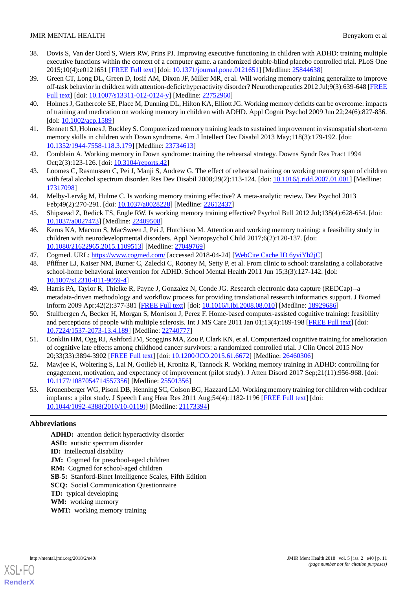- 38. Dovis S, Van der Oord S, Wiers RW, Prins PJ. Improving executive functioning in children with ADHD: training multiple executive functions within the context of a computer game. a randomized double-blind placebo controlled trial. PLoS One 2015;10(4):e0121651 [\[FREE Full text](http://dx.plos.org/10.1371/journal.pone.0121651)] [doi: [10.1371/journal.pone.0121651\]](http://dx.doi.org/10.1371/journal.pone.0121651) [Medline: [25844638\]](http://www.ncbi.nlm.nih.gov/entrez/query.fcgi?cmd=Retrieve&db=PubMed&list_uids=25844638&dopt=Abstract)
- 39. Green CT, Long DL, Green D, Iosif AM, Dixon JF, Miller MR, et al. Will working memory training generalize to improve off-task behavior in children with attention-deficit/hyperactivity disorder? Neurotherapeutics 2012 Jul;9(3):639-648 [\[FREE](http://europepmc.org/abstract/MED/22752960) [Full text\]](http://europepmc.org/abstract/MED/22752960) [doi: [10.1007/s13311-012-0124-y](http://dx.doi.org/10.1007/s13311-012-0124-y)] [Medline: [22752960](http://www.ncbi.nlm.nih.gov/entrez/query.fcgi?cmd=Retrieve&db=PubMed&list_uids=22752960&dopt=Abstract)]
- <span id="page-10-0"></span>40. Holmes J, Gathercole SE, Place M, Dunning DL, Hilton KA, Elliott JG. Working memory deficits can be overcome: impacts of training and medication on working memory in children with ADHD. Appl Cognit Psychol 2009 Jun 22;24(6):827-836. [doi: [10.1002/acp.1589\]](http://dx.doi.org/10.1002/acp.1589)
- <span id="page-10-2"></span><span id="page-10-1"></span>41. Bennett SJ, Holmes J, Buckley S. Computerized memory training leads to sustained improvement in visuospatial short-term memory skills in children with Down syndrome. Am J Intellect Dev Disabil 2013 May;118(3):179-192. [doi: [10.1352/1944-7558-118.3.179](http://dx.doi.org/10.1352/1944-7558-118.3.179)] [Medline: [23734613](http://www.ncbi.nlm.nih.gov/entrez/query.fcgi?cmd=Retrieve&db=PubMed&list_uids=23734613&dopt=Abstract)]
- <span id="page-10-3"></span>42. Comblain A. Working memory in Down syndrome: training the rehearsal strategy. Downs Syndr Res Pract 1994 Oct;2(3):123-126. [doi: [10.3104/reports.42](http://dx.doi.org/10.3104/reports.42)]
- <span id="page-10-4"></span>43. Loomes C, Rasmussen C, Pei J, Manji S, Andrew G. The effect of rehearsal training on working memory span of children with fetal alcohol spectrum disorder. Res Dev Disabil 2008;29(2):113-124. [doi: [10.1016/j.ridd.2007.01.001](http://dx.doi.org/10.1016/j.ridd.2007.01.001)] [Medline: [17317098](http://www.ncbi.nlm.nih.gov/entrez/query.fcgi?cmd=Retrieve&db=PubMed&list_uids=17317098&dopt=Abstract)]
- <span id="page-10-5"></span>44. Melby-Lervåg M, Hulme C. Is working memory training effective? A meta-analytic review. Dev Psychol 2013 Feb;49(2):270-291. [doi: [10.1037/a0028228](http://dx.doi.org/10.1037/a0028228)] [Medline: [22612437\]](http://www.ncbi.nlm.nih.gov/entrez/query.fcgi?cmd=Retrieve&db=PubMed&list_uids=22612437&dopt=Abstract)
- <span id="page-10-6"></span>45. Shipstead Z, Redick TS, Engle RW. Is working memory training effective? Psychol Bull 2012 Jul;138(4):628-654. [doi: [10.1037/a0027473](http://dx.doi.org/10.1037/a0027473)] [Medline: [22409508](http://www.ncbi.nlm.nih.gov/entrez/query.fcgi?cmd=Retrieve&db=PubMed&list_uids=22409508&dopt=Abstract)]
- <span id="page-10-8"></span><span id="page-10-7"></span>46. Kerns KA, Macoun S, MacSween J, Pei J, Hutchison M. Attention and working memory training: a feasibility study in children with neurodevelopmental disorders. Appl Neuropsychol Child 2017;6(2):120-137. [doi: [10.1080/21622965.2015.1109513\]](http://dx.doi.org/10.1080/21622965.2015.1109513) [Medline: [27049769\]](http://www.ncbi.nlm.nih.gov/entrez/query.fcgi?cmd=Retrieve&db=PubMed&list_uids=27049769&dopt=Abstract)
- 47. Cogmed. URL: <https://www.cogmed.com/> [accessed 2018-04-24] [\[WebCite Cache ID 6yviYb2jC\]](http://www.webcitation.org/

                 6yviYb2jC)
- <span id="page-10-9"></span>48. Pfiffner LJ, Kaiser NM, Burner C, Zalecki C, Rooney M, Setty P, et al. From clinic to school: translating a collaborative school-home behavioral intervention for ADHD. School Mental Health 2011 Jun 15;3(3):127-142. [doi: [10.1007/s12310-011-9059-4\]](http://dx.doi.org/10.1007/s12310-011-9059-4)
- <span id="page-10-10"></span>49. Harris PA, Taylor R, Thielke R, Payne J, Gonzalez N, Conde JG. Research electronic data capture (REDCap)--a metadata-driven methodology and workflow process for providing translational research informatics support. J Biomed Inform 2009 Apr;42(2):377-381 [\[FREE Full text\]](http://linkinghub.elsevier.com/retrieve/pii/S1532-0464(08)00122-6) [doi: [10.1016/j.jbi.2008.08.010](http://dx.doi.org/10.1016/j.jbi.2008.08.010)] [Medline: [18929686](http://www.ncbi.nlm.nih.gov/entrez/query.fcgi?cmd=Retrieve&db=PubMed&list_uids=18929686&dopt=Abstract)]
- <span id="page-10-11"></span>50. Stuifbergen A, Becker H, Morgan S, Morrison J, Perez F. Home-based computer-assisted cognitive training: feasibility and perceptions of people with multiple sclerosis. Int J MS Care 2011 Jan 01;13(4):189-198 [[FREE Full text](http://europepmc.org/abstract/MED/22740777)] [doi: [10.7224/1537-2073-13.4.189\]](http://dx.doi.org/10.7224/1537-2073-13.4.189) [Medline: [22740777](http://www.ncbi.nlm.nih.gov/entrez/query.fcgi?cmd=Retrieve&db=PubMed&list_uids=22740777&dopt=Abstract)]
- <span id="page-10-13"></span><span id="page-10-12"></span>51. Conklin HM, Ogg RJ, Ashford JM, Scoggins MA, Zou P, Clark KN, et al. Computerized cognitive training for amelioration of cognitive late effects among childhood cancer survivors: a randomized controlled trial. J Clin Oncol 2015 Nov 20;33(33):3894-3902 [[FREE Full text](http://europepmc.org/abstract/MED/26460306)] [doi: [10.1200/JCO.2015.61.6672](http://dx.doi.org/10.1200/JCO.2015.61.6672)] [Medline: [26460306\]](http://www.ncbi.nlm.nih.gov/entrez/query.fcgi?cmd=Retrieve&db=PubMed&list_uids=26460306&dopt=Abstract)
- 52. Mawjee K, Woltering S, Lai N, Gotlieb H, Kronitz R, Tannock R. Working memory training in ADHD: controlling for engagement, motivation, and expectancy of improvement (pilot study). J Atten Disord 2017 Sep;21(11):956-968. [doi: [10.1177/1087054714557356\]](http://dx.doi.org/10.1177/1087054714557356) [Medline: [25501356\]](http://www.ncbi.nlm.nih.gov/entrez/query.fcgi?cmd=Retrieve&db=PubMed&list_uids=25501356&dopt=Abstract)
- 53. Kronenberger WG, Pisoni DB, Henning SC, Colson BG, Hazzard LM. Working memory training for children with cochlear implants: a pilot study. J Speech Lang Hear Res 2011 Aug; 54(4): 1182-1196 [\[FREE Full text\]](http://europepmc.org/abstract/MED/21173394) [doi: [10.1044/1092-4388\(2010/10-0119\)\]](http://dx.doi.org/10.1044/1092-4388(2010/10-0119)) [Medline: [21173394\]](http://www.ncbi.nlm.nih.gov/entrez/query.fcgi?cmd=Retrieve&db=PubMed&list_uids=21173394&dopt=Abstract)

## **Abbreviations**

**ADHD:** attention deficit hyperactivity disorder **ASD:** autistic spectrum disorder **ID:** intellectual disability **JM:** Cogmed for preschool-aged children **RM:** Cogmed for school-aged children **SB-5:** Stanford-Binet Intelligence Scales, Fifth Edition **SCQ:** Social Communication Questionnaire **TD:** typical developing **WM:** working memory **WMT:** working memory training